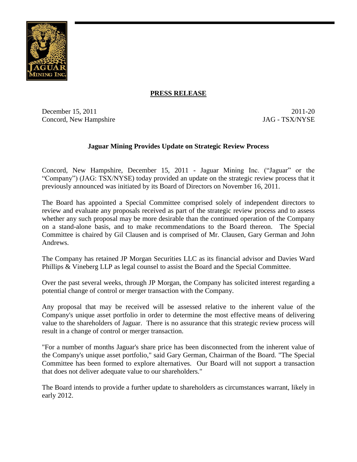

## **PRESS RELEASE**

December 15, 2011 20 Concord, New Hampshire JAG - TSX/NYSE

# **Jaguar Mining Provides Update on Strategic Review Process**

Concord, New Hampshire, December 15, 2011 - Jaguar Mining Inc. ("Jaguar" or the "Company") (JAG: TSX/NYSE) today provided an update on the strategic review process that it previously announced was initiated by its Board of Directors on November 16, 2011.

The Board has appointed a Special Committee comprised solely of independent directors to review and evaluate any proposals received as part of the strategic review process and to assess whether any such proposal may be more desirable than the continued operation of the Company on a stand-alone basis, and to make recommendations to the Board thereon. The Special Committee is chaired by Gil Clausen and is comprised of Mr. Clausen, Gary German and John Andrews.

The Company has retained JP Morgan Securities LLC as its financial advisor and Davies Ward Phillips & Vineberg LLP as legal counsel to assist the Board and the Special Committee.

Over the past several weeks, through JP Morgan, the Company has solicited interest regarding a potential change of control or merger transaction with the Company.

Any proposal that may be received will be assessed relative to the inherent value of the Company's unique asset portfolio in order to determine the most effective means of delivering value to the shareholders of Jaguar. There is no assurance that this strategic review process will result in a change of control or merger transaction.

"For a number of months Jaguar's share price has been disconnected from the inherent value of the Company's unique asset portfolio," said Gary German, Chairman of the Board. "The Special Committee has been formed to explore alternatives. Our Board will not support a transaction that does not deliver adequate value to our shareholders."

The Board intends to provide a further update to shareholders as circumstances warrant, likely in early 2012.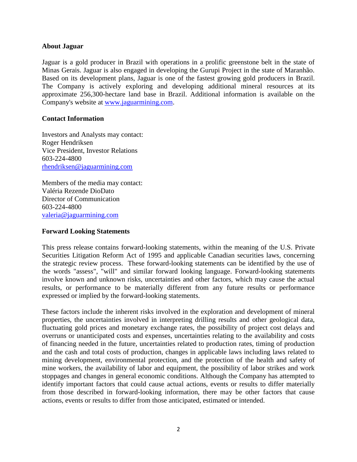### **About Jaguar**

Jaguar is a gold producer in Brazil with operations in a prolific greenstone belt in the state of Minas Gerais. Jaguar is also engaged in developing the Gurupi Project in the state of Maranhão. Based on its development plans, Jaguar is one of the fastest growing gold producers in Brazil. The Company is actively exploring and developing additional mineral resources at its approximate 256,300-hectare land base in Brazil. Additional information is available on the Company's website at [www.jaguarmining.com.](http://www.jaguarmining.com/)

### **Contact Information**

Investors and Analysts may contact: Roger Hendriksen Vice President, Investor Relations 603-224-4800 [rhendriksen@jaguarmining.com](mailto:rhendriksen@jaguarmining.com)

Members of the media may contact: Valéria Rezende DioDato Director of Communication 603-224-4800 [valeria@jaguarmining.com](mailto:valeria@jaguarmining.com)

#### **Forward Looking Statements**

This press release contains forward-looking statements, within the meaning of the U.S. Private Securities Litigation Reform Act of 1995 and applicable Canadian securities laws, concerning the strategic review process. These forward-looking statements can be identified by the use of the words "assess", "will" and similar forward looking language. Forward-looking statements involve known and unknown risks, uncertainties and other factors, which may cause the actual results, or performance to be materially different from any future results or performance expressed or implied by the forward-looking statements.

These factors include the inherent risks involved in the exploration and development of mineral properties, the uncertainties involved in interpreting drilling results and other geological data, fluctuating gold prices and monetary exchange rates, the possibility of project cost delays and overruns or unanticipated costs and expenses, uncertainties relating to the availability and costs of financing needed in the future, uncertainties related to production rates, timing of production and the cash and total costs of production, changes in applicable laws including laws related to mining development, environmental protection, and the protection of the health and safety of mine workers, the availability of labor and equipment, the possibility of labor strikes and work stoppages and changes in general economic conditions. Although the Company has attempted to identify important factors that could cause actual actions, events or results to differ materially from those described in forward-looking information, there may be other factors that cause actions, events or results to differ from those anticipated, estimated or intended.